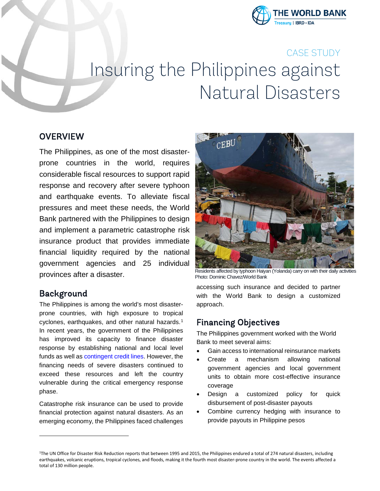

# CASE STUDY Insuring the Philippines against Natural Disasters

#### **OVERVIEW**

The Philippines, as one of the most disasterprone countries in the world, requires considerable fiscal resources to support rapid response and recovery after severe typhoon and earthquake events. To alleviate fiscal pressures and meet these needs, the World Bank partnered with the Philippines to design and implement a parametric catastrophe risk insurance product that provides immediate financial liquidity required by the national government agencies and 25 individual provinces after a disaster.

## Background

<span id="page-0-0"></span>**.** 

The Philippines is among the world's most disasterprone countries, with high exposure to tropical cyclones, earthquakes, and other natural hazards.<sup>[1](#page-0-0)</sup> In recent years, the government of the Philippines has improved its capacity to finance disaster response by establishing national and local level funds as well a[s contingent credit lines.](http://www.worldbank.org/en/news/press-release/2015/12/22/philippines-new-initiative-to-boost-resilience-against-natural-disasters) However, the financing needs of severe disasters continued to exceed these resources and left the country vulnerable during the critical emergency response phase.

Catastrophe risk insurance can be used to provide financial protection against natural disasters. As an emerging economy, the Philippines faced challenges



Residents affected by typhoon Haiyan (Yolanda) carry on with their daily activities Photo: Dominic Chavez/World Bank

accessing such insurance and decided to partner with the World Bank to design a customized approach.

## Financing Objectives

The Philippines government worked with the World Bank to meet several aims:

- Gain access to international reinsurance markets
- Create a mechanism allowing national government agencies and local government units to obtain more cost-effective insurance coverage
- Design a customized policy for quick disbursement of post-disaster payouts
- Combine currency hedging with insurance to provide payouts in Philippine pesos

<sup>&</sup>lt;sup>1</sup>The UN Office for Disaster Risk Reduction reports that between 1995 and 2015, the Philippines endured a total of 274 natural disasters, including earthquakes, volcanic eruptions, tropical cyclones, and floods, making it the fourth most disaster-prone country in the world. The events affected a total of 130 million people.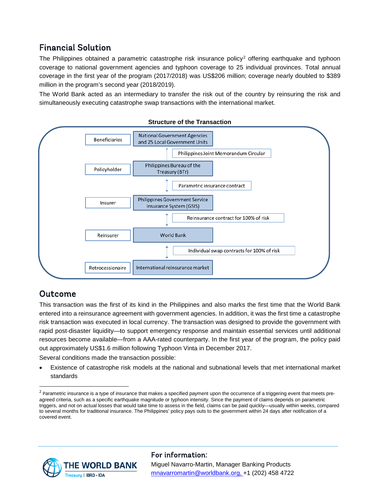# Financial Solution

The Philippines obtained a parametric catastrophe risk insurance policy<sup>[2](#page-1-0)</sup> offering earthquake and typhoon coverage to national government agencies and typhoon coverage to 25 individual provinces. Total annual coverage in the first year of the program (2017/2018) was US\$206 million; coverage nearly doubled to \$389 million in the program's second year (2018/2019).

The World Bank acted as an intermediary to transfer the risk out of the country by reinsuring the risk and simultaneously executing catastrophe swap transactions with the international market.



## Outcome

This transaction was the first of its kind in the Philippines and also marks the first time that the World Bank entered into a reinsurance agreement with government agencies. In addition, it was the first time a catastrophe risk transaction was executed in local currency. The transaction was designed to provide the government with rapid post-disaster liquidity—to support emergency response and maintain essential services until additional resources become available—from a AAA-rated counterparty. In the first year of the program, the policy paid out approximately US\$1.6 million following Typhoon Vinta in December 2017.

Several conditions made the transaction possible:

• Existence of catastrophe risk models at the national and subnational levels that met international market standards



#### For information: Miguel Navarro-Martin, Manager Banking Products [mnavarromartin@worldbank.org,](mailto:mnavarromartin@worldbank.org) +1 (202) 458 4722

<span id="page-1-0"></span><sup>&</sup>lt;sup>2</sup> Parametric insurance is a type of insurance that makes a specified payment upon the occurrence of a triggering event that meets preagreed criteria, such as a specific earthquake magnitude or typhoon intensity. Since the payment of claims depends on parametric triggers, and not on actual losses that would take time to assess in the field, claims can be paid quickly—usually within weeks, compared to several months for traditional insurance. The Philippines' policy pays outs to the government within 24 days after notification of a covered event.